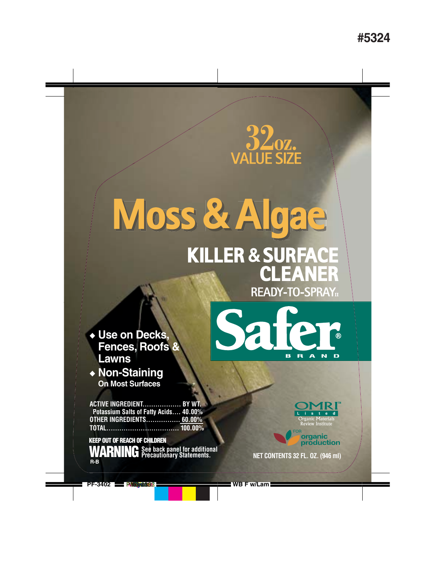# **Moss&Algae KILLER &SURFACE**

## **EANER READY-TO-SPRAY**

**B** R

◆ **Use on Decks, Fences, Roofs & Lawns** 

◆ **Non-Staining On Most Surfaces**

**ACTIVE INGREDIENT.................. BY WT. Potassium Salts of Fatty Acids.... 40.00% OTHER INGREDIENTS................ 60.00% TOTAL.................................. 100.00%**

**KEEP OUT OF REACH OF CHILDREN G** See back panel for additional **C** Precautionary Statements. **R-B**

OMRI **Listed TM**Organic Materials Review Institute n<br>production<br>production

 $\ddot{\circ}$ 

 $\mathbf{D}$ 

 $\mathbf{N}$  $\overline{\mathbf{A}}$ 

**Precautionary Statements. NET CONTENTS 32 FL. OZ. (946 ml)**

**PF-3402 EXAMBRACKER CALCULATE THE WAY F W/Lam**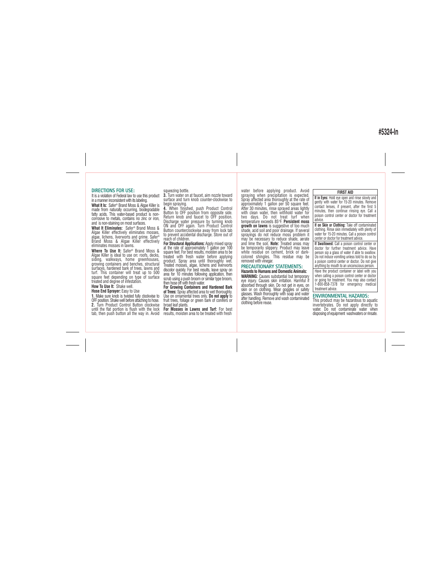**DIRECTIONS FOR USE:** It is a violation of Federal law to use this product in a manner inconsistent with its labeling. **What It Is:** Safer® Brand Moss & Algae Killer is

made from naturally occurring, biodegradable fatty acids. This water-based product is noncorrosive to metals, contains no zinc or iron, and is non-staining on most surfaces. **What It Eliminates:** Safer® Brand Moss &

Algae Killer effectively eliminates mosses, algae, lichens, liverworts and grime. Safer® Brand Moss & Algae Killer effectively eliminates mosses in lawns.

**Where To Use It:** Safer® Brand Moss & Algae Killer is ideal to use on: roofs, decks, siding, walkways, home greenhouses,<br>growing containers and benches, structural<br>surfaces, hardened bark of trees, lawns and<br>turf. This container will treat up to 500<br>square feet depending on type of surface<br>treated and degr

### **How To Use It:** Shake well.

**Hose End Sprayer:** Easy to Use<br>**1.** Make sure knob is twisted fully clockwise to **1.** Make sure knob is twisted fully clockwise to<br>OFF position. Shake well before attaching to hose.<br>2. Turn Product Control Button clockwise<br>until the flat portion is flush with the lock<br>tab, then push button all the way

squeezing bottle. **3.** Turn water on at faucet, aim nozzle toward

surface and turn knob counter-clockwise to<br>begin spraying.<br>**4.** When finished, push Product Control<br>Button to OFF position from opposite side.<br>Return knob and faucet to OFF position.<br>Discharge water pressure by turning kno

to prevent accidental discharge. Store out of<br>reach of children.<br>**For Structural Applications:** Apply mixed spray<br>at the rate of approximately 1 gallon per 100<br>square feet. For best results, moisten area to be<br>treated with

then hose off with tresh water<br>For Growing Containers and Hardened Bark<br>of Trees: Spray affected area to wet thoroughly.<br>Use on ornamental trees only. Do not apply to<br>trut trees, foliage or green bark of confers or<br>broad l

results, moisten area to be treated with fresh

water before applying product. Avoid<br>spraying when precipitation is expected.<br>Spray affected area thoroughly at the rate of<br>approximately 1 gallon per 50 square feet.<br>After 30 minutes, rinse sprayed areas lightly<br>with clea sprayings do not reduce moss problem it may be necessary to reduce shade, aerate and lime the soil. **Note:** Treated areas may be temporarily slippery. Product may leave white residue on cement, brick or dark-colored shingles. This residue may be removed with vinegar.

PRECAUTIONARY STATEMENTS:<br>**Hazards to Humans and Domestic Animals:**<br>**WARNING:** Causes substantial but temporary<br>eye injury. Causes substantial but temporary<br>absorbed through skin. Do not get in eyes, on<br>skin or on clothing

**FIRST AID If in Eyes:** Hold eye open and rinse slowly and<br>gently with water for 15-20 minutes. Remove<br>contact lenses, if present, after the first 5<br>minutes, then continue rinsing eye. Call a poison control center or doctor for treatment

advice. **If on Skin or Clothing:** Take off contaminated clothing. Rinse skin immediately with plenty of water for 15-20 minutes. Call a poison control center or doctor for treatment advice.

**If Swallowed:** Call a poison control center or doctor for further treatment advice. Have person sip a glass of water if able to swallow. Do not induce vomiting unless told to do so by a poison control center or doctor. Do not give anything by mouth to an unconscious person. Have the product container or label with you when calling a poison control center or doctor<br>or going for treatment. You may also contact<br>1-800-858-7378 for emergency medical<br>treatment advice.

#### **ENVIRONMENTAL HAZARDS:**

This product may be hazardous to aquatic invertebrates. Do not apply directly to water. Do not contaminate water when disposing of equipment washwaters or rinsate.

**#5324-In**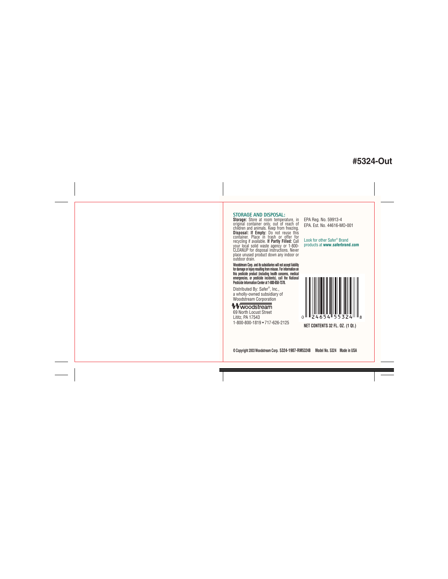## **#5324-Out**